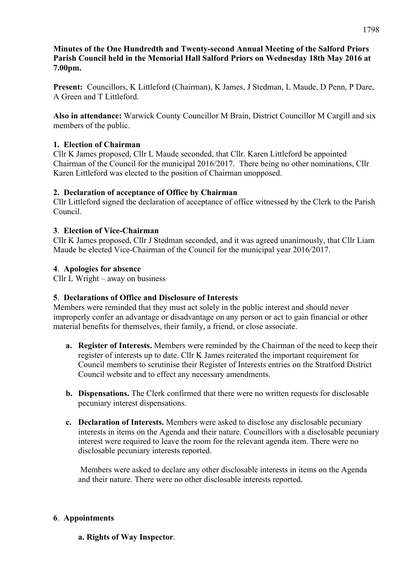## **Minutes of the One Hundredth and Twenty-second Annual Meeting of the Salford Priors Parish Council held in the Memorial Hall Salford Priors on Wednesday 18th May 2016 at 7.00pm.**

**Present:** Councillors, K Littleford (Chairman), K James, J Stedman, L Maude, D Penn, P Dare, A Green and T Littleford.

**Also in attendance:** Warwick County Councillor M Brain, District Councillor M Cargill and six members of the public.

## **1. Election of Chairman**

Cllr K James proposed, Cllr L Maude seconded, that Cllr. Karen Littleford be appointed Chairman of the Council for the municipal 2016/2017. There being no other nominations, Cllr Karen Littleford was elected to the position of Chairman unopposed.

## **2. Declaration of acceptance of Office by Chairman**

Cllr Littleford signed the declaration of acceptance of office witnessed by the Clerk to the Parish Council.

## **3**. **Election of Vice-Chairman**

Cllr K James proposed, Cllr J Stedman seconded, and it was agreed unanimously, that Cllr Liam Maude be elected Vice-Chairman of the Council for the municipal year 2016/2017.

## **4**. **Apologies for absence**

Cllr L Wright – away on business

## **5**. **Declarations of Office and Disclosure of Interests**

Members were reminded that they must act solely in the public interest and should never improperly confer an advantage or disadvantage on any person or act to gain financial or other material benefits for themselves, their family, a friend, or close associate.

- **a. Register of Interests.** Members were reminded by the Chairman of the need to keep their register of interests up to date. Cllr K James reiterated the important requirement for Council members to scrutinise their Register of Interests entries on the Stratford District Council website and to effect any necessary amendments.
- **b. Dispensations.** The Clerk confirmed that there were no written requests for disclosable pecuniary interest dispensations.
- **c. Declaration of Interests.** Members were asked to disclose any disclosable pecuniary interests in items on the Agenda and their nature. Councillors with a disclosable pecuniary interest were required to leave the room for the relevant agenda item. There were no disclosable pecuniary interests reported.

Members were asked to declare any other disclosable interests in items on the Agenda and their nature. There were no other disclosable interests reported.

## **6**. **Appointments**

**a. Rights of Way Inspector**.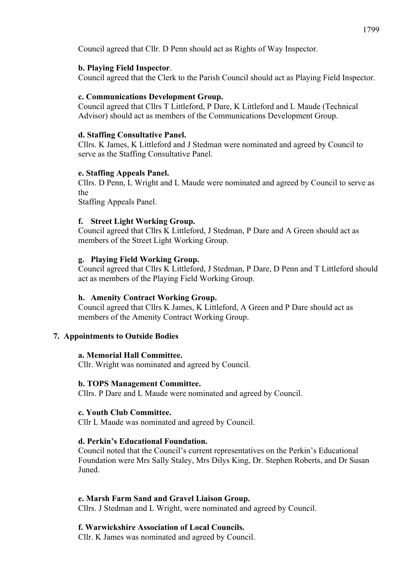Council agreed that Cllr. D Penn should act as Rights of Way Inspector.

### **b. Playing Field Inspector**.

Council agreed that the Clerk to the Parish Council should act as Playing Field Inspector.

### **c. Communications Development Group.**

Council agreed that Cllrs T Littleford, P Dare, K Littleford and L Maude (Technical Advisor) should act as members of the Communications Development Group.

### **d. Staffing Consultative Panel.**

Cllrs. K James, K Littleford and J Stedman were nominated and agreed by Council to serve as the Staffing Consultative Panel.

### **e. Staffing Appeals Panel.**

Cllrs. D Penn, L Wright and L Maude were nominated and agreed by Council to serve as the

Staffing Appeals Panel.

### **f. Street Light Working Group.**

Council agreed that Cllrs K Littleford, J Stedman, P Dare and A Green should act as members of the Street Light Working Group.

### **g. Playing Field Working Group.**

Council agreed that Cllrs K Littleford, J Stedman, P Dare, D Penn and T Littleford should act as members of the Playing Field Working Group.

### **h. Amenity Contract Working Group.**

Council agreed that Cllrs K James, K Littleford, A Green and P Dare should act as members of the Amenity Contract Working Group.

### **7. Appointments to Outside Bodies**

### **a. Memorial Hall Committee.**

Cllr. Wright was nominated and agreed by Council.

### **b. TOPS Management Committee.**

Cllrs. P Dare and L Maude were nominated and agreed by Council.

### **c. Youth Club Committee.**

Cllr L Maude was nominated and agreed by Council.

### **d. Perkin's Educational Foundation.**

Council noted that the Council's current representatives on the Perkin's Educational Foundation were Mrs Sally Staley, Mrs Dilys King, Dr. Stephen Roberts, and Dr Susan Juned.

### **e. Marsh Farm Sand and Gravel Liaison Group.**

Cllrs. J Stedman and L Wright, were nominated and agreed by Council.

### **f. Warwickshire Association of Local Councils.**

Cllr. K James was nominated and agreed by Council.